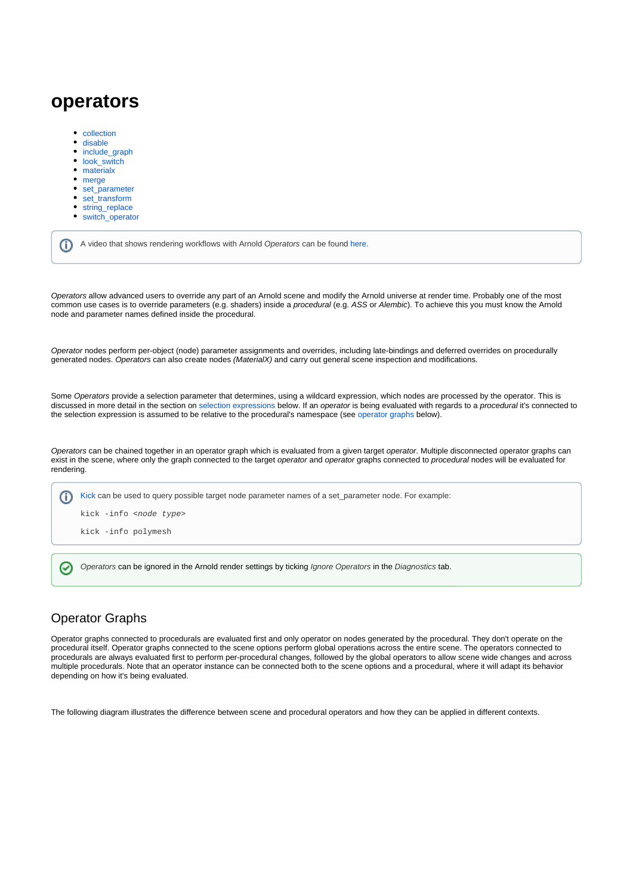# **operators**

- $\bullet$ [collection](https://docs.arnoldrenderer.com/display/A5NodeRef/collection)
- [disable](https://docs.arnoldrenderer.com/display/A5NodeRef/disable)
- [include\\_graph](https://docs.arnoldrenderer.com/display/A5NodeRef/include_graph)  $\bullet$
- $\bullet$ [look\\_switch](https://docs.arnoldrenderer.com/display/A5NodeRef/look_switch)
- [materialx](https://docs.arnoldrenderer.com/display/A5NodeRef/materialx)
- [merge](https://docs.arnoldrenderer.com/display/A5NodeRef/merge)
- [set\\_parameter](https://docs.arnoldrenderer.com/display/A5NodeRef/set_parameter)
- $\bullet$ [set\\_transform](https://docs.arnoldrenderer.com/display/A5NodeRef/set_transform)
- [string\\_replace](https://docs.arnoldrenderer.com/display/A5NodeRef/string_replace)  $\bullet$
- [switch\\_operator](https://docs.arnoldrenderer.com/display/A5NodeRef/switch_operator)

|  | A video that shows rendering workflows with Arnold Operators can be found here. |  |  |  |  |  |  |
|--|---------------------------------------------------------------------------------|--|--|--|--|--|--|
|--|---------------------------------------------------------------------------------|--|--|--|--|--|--|

Operators allow advanced users to override any part of an Arnold scene and modify the Arnold universe at render time. Probably one of the most common use cases is to override parameters (e.g. shaders) inside a procedural (e.g. ASS or Alembic). To achieve this you must know the Arnold node and parameter names defined inside the procedural.

Operator nodes perform per-object (node) parameter assignments and overrides, including late-bindings and deferred overrides on procedurally generated nodes. Operators can also create nodes (MaterialX) and carry out general scene inspection and modifications.

Some Operators provide a selection parameter that determines, using a wildcard expression, which nodes are processed by the operator. This is discussed in more detail in the section on [selection expressions](#page-1-0) below. If an operator is being evaluated with regards to a procedural it's connected to the selection expression is assumed to be relative to the procedural's namespace (see [operator graphs](#page-0-0) below).

Operators can be chained together in an operator graph which is evaluated from a given target operator. Multiple disconnected operator graphs can exist in the scene, where only the graph connected to the target operator and operator graphs connected to procedural nodes will be evaluated for rendering.

⋒ [Kick](https://docs.arnoldrenderer.com/pages/viewpage.action?pageId=36110428) can be used to query possible target node parameter names of a set\_parameter node. For example: kick -info <node type> kick -info polymesh

Operators can be ignored in the Arnold render settings by ticking Ignore Operators in the Diagnostics tab. ☑

# <span id="page-0-0"></span>Operator Graphs

Operator graphs connected to procedurals are evaluated first and only operator on nodes generated by the procedural. They don't operate on the procedural itself. Operator graphs connected to the scene options perform global operations across the entire scene. The operators connected to procedurals are always evaluated first to perform per-procedural changes, followed by the global operators to allow scene wide changes and across multiple procedurals. Note that an operator instance can be connected both to the scene options and a procedural, where it will adapt its behavior depending on how it's being evaluated.

The following diagram illustrates the difference between scene and procedural operators and how they can be applied in different contexts.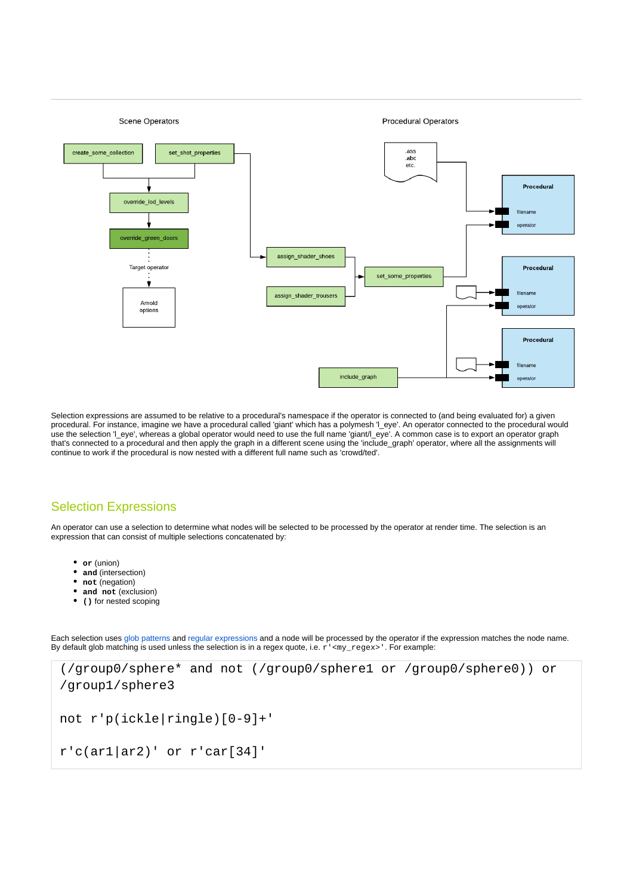

Selection expressions are assumed to be relative to a procedural's namespace if the operator is connected to (and being evaluated for) a given procedural. For instance, imagine we have a procedural called 'giant' which has a polymesh 'l\_eye'. An operator connected to the procedural would use the selection 'l\_eye', whereas a global operator would need to use the full name 'giant/l\_eye'. A common case is to export an operator graph that's connected to a procedural and then apply the graph in a different scene using the 'include\_graph' operator, where all the assignments will continue to work if the procedural is now nested with a different full name such as 'crowd/ted'.

# <span id="page-1-1"></span><span id="page-1-0"></span>[Selection Expressions](#page-1-1)

An operator can use a selection to determine what nodes will be selected to be processed by the operator at render time. The selection is an expression that can consist of multiple selections concatenated by:

- **or** (union)
- **and** (intersection)
- not (negation)
- **and not** (exclusion)
- **()** for nested scoping

Each selection uses [glob patterns](https://en.wikipedia.org/wiki/Glob_(programming)) and [regular expressions](https://en.wikipedia.org/wiki/Regular_expression) and a node will be processed by the operator if the expression matches the node name. By default glob matching is used unless the selection is in a regex quote, i.e. r' <my\_regex>'. For example:

```
(/group0/sphere* and not (/group0/sphere1 or /group0/sphere0)) or 
/group1/sphere3
not r'p(ickle|ringle)[0-9]+'
r'c(ar1|ar2)' or r'car[34]'
```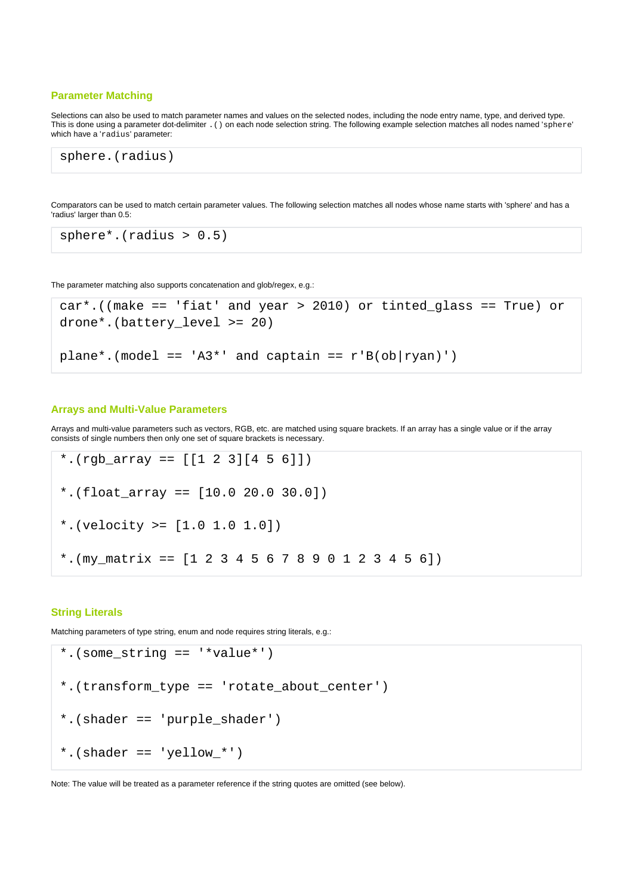# **[Parameter Matching](#page-1-2)**

Selections can also be used to match parameter names and values on the selected nodes, including the node entry name, type, and derived type. This is done using a parameter dot-delimiter .() on each node selection string. The following example selection matches all nodes named 'sphere' which have a 'radius' parameter:

sphere.(radius)

Comparators can be used to match certain parameter values. The following selection matches all nodes whose name starts with 'sphere' and has a 'radius' larger than 0.5:

```
sphere*.(radius > 0.5)
```
The parameter matching also supports concatenation and glob/regex, e.g.:

```
car*.((make == 'fiat' and year > 2010) or tinted_glass == True) or 
drone*.(battery_level >= 20)
plane*.(model == 'A3*' and captain == r'B(obj|ryan)')
```
# <span id="page-2-0"></span>**[Arrays and Multi-Value Parameters](#page-2-0)**

Arrays and multi-value parameters such as vectors, RGB, etc. are matched using square brackets. If an array has a single value or if the array consists of single numbers then only one set of square brackets is necessary.

```
*.(rgb_array == [[1 2 3][4 5 6]])
*.(float_array == [10.0 20.0 30.0])
*.(velocity >= [1.0 1.0 1.0])
*. (my_matrix == [1 2 3 4 5 6 7 8 9 0 1 2 3 4 5 6])
```
# <span id="page-2-1"></span>**[String Literals](#page-2-1)**

Matching parameters of type string, enum and node requires string literals, e.g.:

```
*.(some_string == '*value*')
*.(transform_type == 'rotate_about_center')
*.(shader == 'purple_shader')
*.(shader == 'yellow_*')
```
<span id="page-2-2"></span>Note: The value will be treated as a parameter reference if the string quotes are omitted (see below).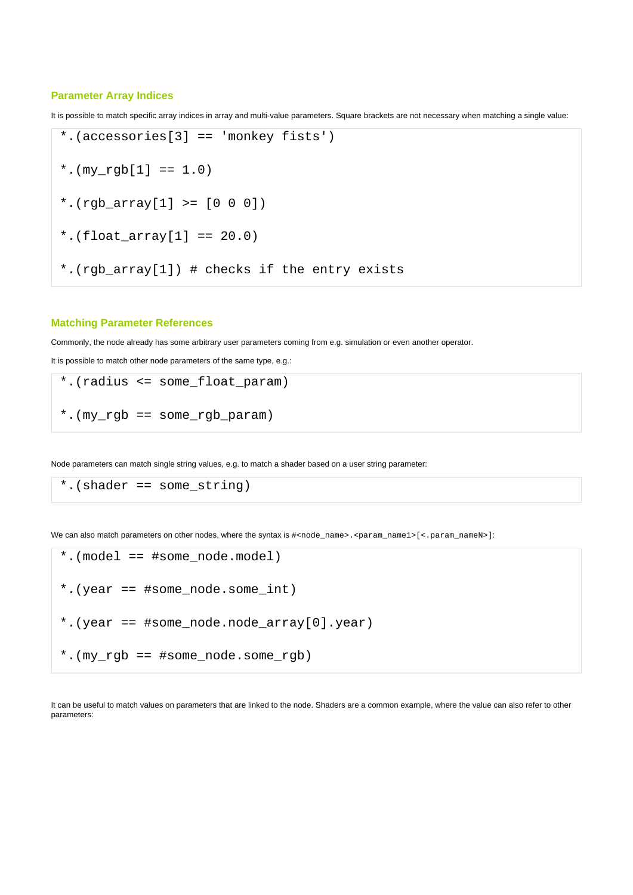## **[Parameter Array Indices](#page-2-2)**

It is possible to match specific array indices in array and multi-value parameters. Square brackets are not necessary when matching a single value:

\*.(accessories[3] == 'monkey fists') \*.( $my$   $rqb[1] == 1.0$ ) \*.(rgb\_array[1] >=  $[0 0 0]$ ) \*.(float  $array[1] == 20.0)$ 

\*.(rgb\_array[1]) # checks if the entry exists

# <span id="page-3-0"></span>**[Matching Parameter References](#page-3-0)**

Commonly, the node already has some arbitrary user parameters coming from e.g. simulation or even another operator.

It is possible to match other node parameters of the same type, e.g.:

```
*.(radius <= some_float_param)
*.(my_rgb == some_rgb_param)
```
Node parameters can match single string values, e.g. to match a shader based on a user string parameter:

```
*.(shader == some_string)
```
We can also match parameters on other nodes, where the syntax is  $\#$ <node\_name>.<param\_name1>[<.param\_nameN>]:

```
*.(model == #some_node.model)
*.(year == #some_node.some_int)
*.(year == \#some node.node array[0].year)
*.(my_rgb == #some_node.some_rgb)
```
It can be useful to match values on parameters that are linked to the node. Shaders are a common example, where the value can also refer to other parameters: